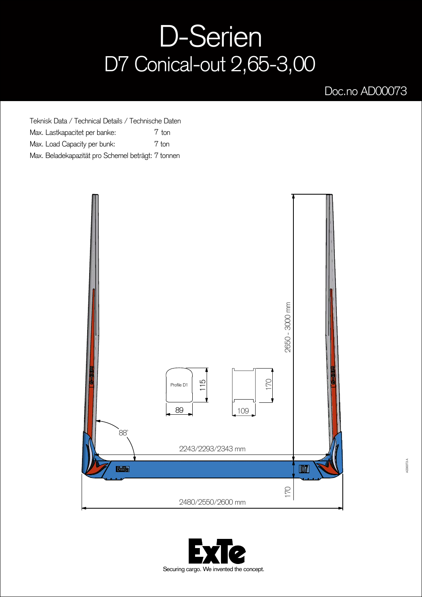## D-Serien D7 Conical-out 2,65-3,00

## Doc.no AD00073

Teknisk Data / Technical Details / Technische Daten Max. Lastkapacitet per banke: Max. Load Capacity per bunk: Max. Beladekapazität pro Schemel beträgt: 7 tonnen 7 ton 7 ton